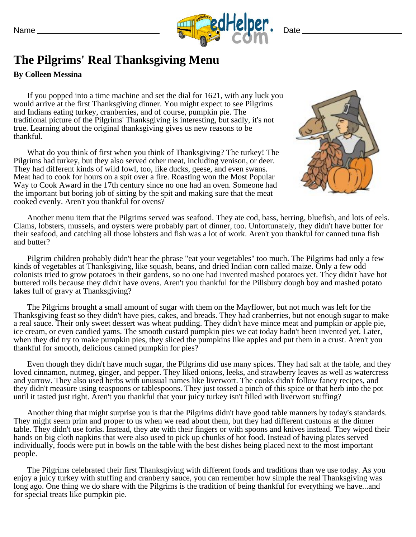

## **The Pilgrims' Real Thanksgiving Menu**

## **By Colleen Messina**

If you popped into a time machine and set the dial for 1621, with any luck you would arrive at the first Thanksgiving dinner. You might expect to see Pilgrims and Indians eating turkey, cranberries, and of course, pumpkin pie. The traditional picture of the Pilgrims' Thanksgiving is interesting, but sadly, it's not true. Learning about the original thanksgiving gives us new reasons to be thankful.

What do you think of first when you think of Thanksgiving? The turkey! The Pilgrims had turkey, but they also served other meat, including venison, or deer. They had different kinds of wild fowl, too, like ducks, geese, and even swans. Meat had to cook for hours on a spit over a fire. Roasting won the Most Popular Way to Cook Award in the 17th century since no one had an oven. Someone had the important but boring job of sitting by the spit and making sure that the meat cooked evenly. Aren't you thankful for ovens?



Another menu item that the Pilgrims served was seafood. They ate cod, bass, herring, bluefish, and lots of eels. Clams, lobsters, mussels, and oysters were probably part of dinner, too. Unfortunately, they didn't have butter for their seafood, and catching all those lobsters and fish was a lot of work. Aren't you thankful for canned tuna fish and butter?

Pilgrim children probably didn't hear the phrase "eat your vegetables" too much. The Pilgrims had only a few kinds of vegetables at Thanksgiving, like squash, beans, and dried Indian corn called maize. Only a few odd colonists tried to grow potatoes in their gardens, so no one had invented mashed potatoes yet. They didn't have hot buttered rolls because they didn't have ovens. Aren't you thankful for the Pillsbury dough boy and mashed potato lakes full of gravy at Thanksgiving?

The Pilgrims brought a small amount of sugar with them on the Mayflower, but not much was left for the Thanksgiving feast so they didn't have pies, cakes, and breads. They had cranberries, but not enough sugar to make a real sauce. Their only sweet dessert was wheat pudding. They didn't have mince meat and pumpkin or apple pie, ice cream, or even candied yams. The smooth custard pumpkin pies we eat today hadn't been invented yet. Later, when they did try to make pumpkin pies, they sliced the pumpkins like apples and put them in a crust. Aren't you thankful for smooth, delicious canned pumpkin for pies?

Even though they didn't have much sugar, the Pilgrims did use many spices. They had salt at the table, and they loved cinnamon, nutmeg, ginger, and pepper. They liked onions, leeks, and strawberry leaves as well as watercress and yarrow. They also used herbs with unusual names like liverwort. The cooks didn't follow fancy recipes, and they didn't measure using teaspoons or tablespoons. They just tossed a pinch of this spice or that herb into the pot until it tasted just right. Aren't you thankful that your juicy turkey isn't filled with liverwort stuffing?

Another thing that might surprise you is that the Pilgrims didn't have good table manners by today's standards. They might seem prim and proper to us when we read about them, but they had different customs at the dinner table. They didn't use forks. Instead, they ate with their fingers or with spoons and knives instead. They wiped their hands on big cloth napkins that were also used to pick up chunks of hot food. Instead of having plates served individually, foods were put in bowls on the table with the best dishes being placed next to the most important people.

The Pilgrims celebrated their first Thanksgiving with different foods and traditions than we use today. As you enjoy a juicy turkey with stuffing and cranberry sauce, you can remember how simple the real Thanksgiving was long ago. One thing we do share with the Pilgrims is the tradition of being thankful for everything we have...and for special treats like pumpkin pie.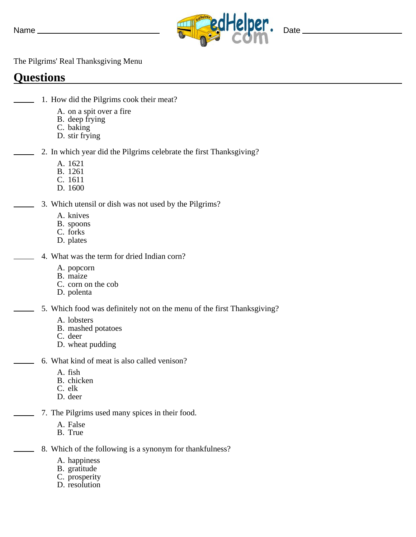

The Pilgrims' Real Thanksgiving Menu

## **Questions**

- 1. How did the Pilgrims cook their meat?
	- A. on a spit over a fire
	- B. deep frying
	- C. baking
	- D. stir frying
	- 2. In which year did the Pilgrims celebrate the first Thanksgiving?
		- A. 1621
		- B. 1261
		- C. 1611
		- D. 1600
	- 3. Which utensil or dish was not used by the Pilgrims?
		- A. knives
		- B. spoons
		- C. forks
		- D. plates
		- 4. What was the term for dried Indian corn?
			- A. popcorn
			- B. maize
			- C. corn on the cob
			- D. polenta
		- 5. Which food was definitely not on the menu of the first Thanksgiving?
			- A. lobsters
			- B. mashed potatoes
			- C. deer
			- D. wheat pudding
		- 6. What kind of meat is also called venison?
			- A. fish
			- B. chicken
			- C. elk
			- D. deer
		- 7. The Pilgrims used many spices in their food.
			- A. False
			- B. True
		- 8. Which of the following is a synonym for thankfulness?
			- A. happiness
			- B. gratitude
			- C. prosperity
			- D. resolution